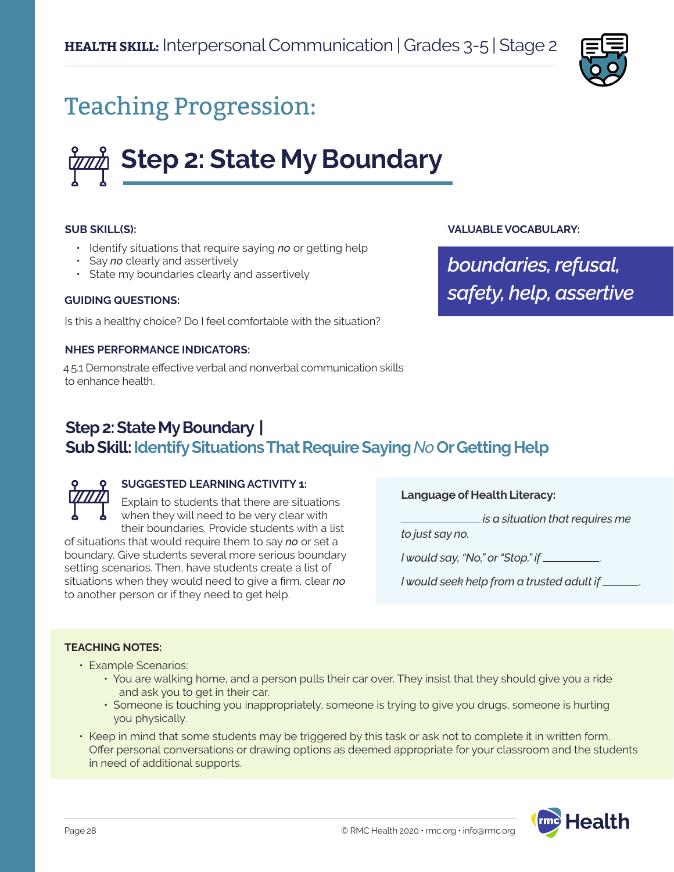

## Teaching Progression:

# **Step 2: State My Boundary**

#### **SUB SKILL(S):**

- Identify situations that require saying *no* or getting help
- Say *no* clearly and assertively
- State my boundaries clearly and assertively

#### **GUIDING QUESTIONS:**

Is this a healthy choice? Do I feel comfortable with the situation?

#### **NHES PERFORMANCE INDICATORS:**

4.5.1 Demonstrate effective verbal and nonverbal communication skills to enhance health.

#### **VALUABLE VOCABULARY:**

*boundaries, refusal, safety, help, assertive*

## **Step 2: State My Boundary | Sub Skill: Identify Situations That Require Saying** *No* **Or Getting Help**

**SUGGESTED LEARNING ACTIVITY 1:**

Explain to students that there are situations when they will need to be very clear with their boundaries. Provide students with a list of situations that would require them to say *no* or set a boundary. Give students several more serious boundary setting scenarios. Then, have students create a list of situations when they would need to give a firm, clear *no* to another person or if they need to get help.

**Language of Health Literacy:**

 *is a situation that requires me* 

*to just say no.* 

*I would say, "No," or "Stop," if* .

*I would seek help from a trusted adult if* .

#### **TEACHING NOTES:**

- Example Scenarios:
	- You are walking home, and a person pulls their car over. They insist that they should give you a ride and ask you to get in their car.
	- Someone is touching you inappropriately, someone is trying to give you drugs, someone is hurting you physically.
- Keep in mind that some students may be triggered by this task or ask not to complete it in written form. Offer personal conversations or drawing options as deemed appropriate for your classroom and the students in need of additional supports.

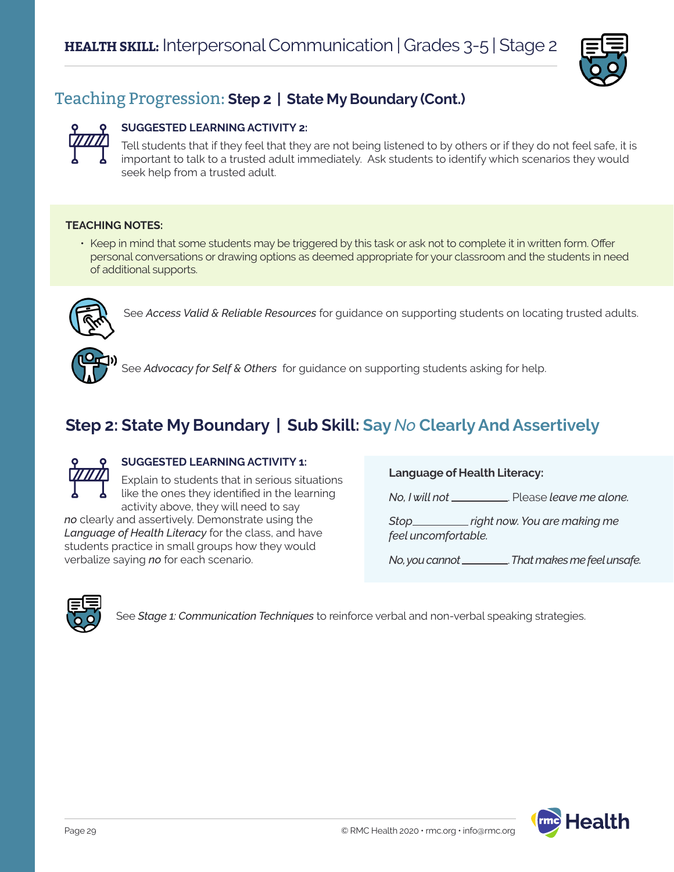

## Teaching Progression: **Step 2 | State My Boundary (Cont.)**

#### **SUGGESTED LEARNING ACTIVITY 2:**

Tell students that if they feel that they are not being listened to by others or if they do not feel safe, it is important to talk to a trusted adult immediately. Ask students to identify which scenarios they would seek help from a trusted adult.

#### **TEACHING NOTES:**

• Keep in mind that some students may be triggered by this task or ask not to complete it in written form. Offer personal conversations or drawing options as deemed appropriate for your classroom and the students in need of additional supports.



See *Access Valid & Reliable Resources* for guidance on supporting students on locating trusted adults.



See *Advocacy for Self & Others* for guidance on supporting students asking for help.

## **Step 2: State My Boundary | Sub Skill: Say** *No* **Clearly And Assertively**



#### **SUGGESTED LEARNING ACTIVITY 1:**

Explain to students that in serious situations like the ones they identified in the learning activity above, they will need to say *no* clearly and assertively. Demonstrate using the

*Language of Health Literacy* for the class, and have students practice in small groups how they would verbalize saying *no* for each scenario.

#### **Language of Health Literacy:**

*No, I will not* . Please *leave me alone.*

*Stop right now. You are making me feel uncomfortable.* 

*No, you cannot* . *That makes me feel unsafe.*



See *Stage 1: Communication Techniques* to reinforce verbal and non-verbal speaking strategies.